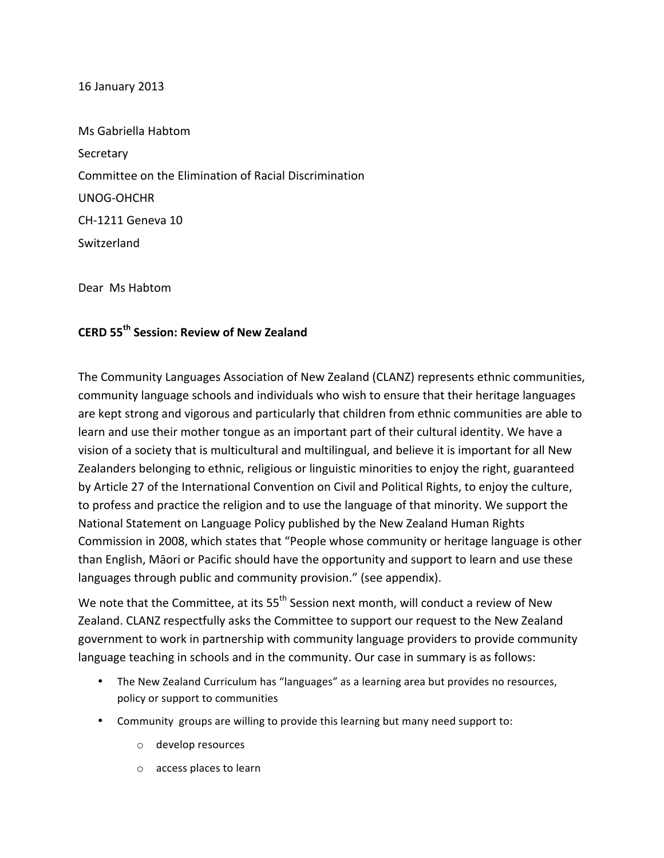# 16 January 2013

Ms Gabriella Habtom **Secretary** Committee on the Elimination of Racial Discrimination UNOG-OHCHR CH-1211 Geneva 10 Switzerland

Dear Ms Habtom

# **CERD%55th%Session:%Review%of%New%Zealand**

The Community Languages Association of New Zealand (CLANZ) represents ethnic communities, community language schools and individuals who wish to ensure that their heritage languages are kept strong and vigorous and particularly that children from ethnic communities are able to learn and use their mother tongue as an important part of their cultural identity. We have a vision of a society that is multicultural and multilingual, and believe it is important for all New Zealanders belonging to ethnic, religious or linguistic minorities to enjoy the right, guaranteed by Article 27 of the International Convention on Civil and Political Rights, to enjoy the culture, to profess and practice the religion and to use the language of that minority. We support the National Statement on Language Policy published by the New Zealand Human Rights Commission in 2008, which states that "People whose community or heritage language is other than English, Māori or Pacific should have the opportunity and support to learn and use these languages through public and community provision." (see appendix).

We note that the Committee, at its  $55<sup>th</sup>$  Session next month, will conduct a review of New Zealand. CLANZ respectfully asks the Committee to support our request to the New Zealand government to work in partnership with community language providers to provide community language teaching in schools and in the community. Our case in summary is as follows:

- The New Zealand Curriculum has "languages" as a learning area but provides no resources, policy or support to communities
- Community groups are willing to provide this learning but many need support to:
	- $\circ$  develop resources
	- $\circ$  access places to learn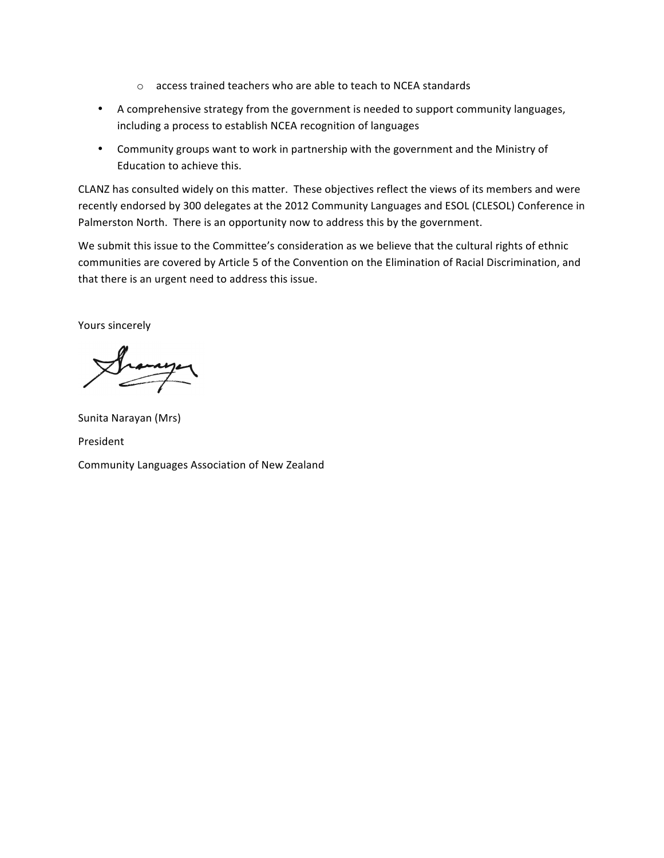- $\circ$  access trained teachers who are able to teach to NCEA standards
- A comprehensive strategy from the government is needed to support community languages, including a process to establish NCEA recognition of languages
- Community groups want to work in partnership with the government and the Ministry of Education to achieve this.

CLANZ has consulted widely on this matter. These objectives reflect the views of its members and were recently endorsed by 300 delegates at the 2012 Community Languages and ESOL (CLESOL) Conference in Palmerston North. There is an opportunity now to address this by the government.

We submit this issue to the Committee's consideration as we believe that the cultural rights of ethnic communities are covered by Article 5 of the Convention on the Elimination of Racial Discrimination, and that there is an urgent need to address this issue.

Yours sincerely

Sunita Narayan (Mrs) President#

Community Languages Association of New Zealand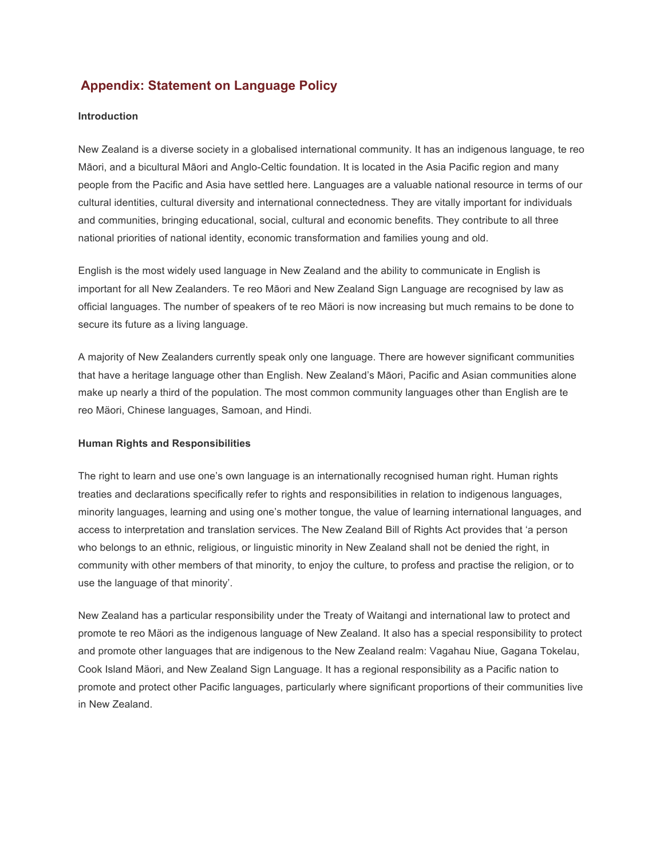# **Appendix: Statement on Language Policy**

#### **Introduction**

New Zealand is a diverse society in a globalised international community. It has an indigenous language, te reo Māori, and a bicultural Māori and Anglo-Celtic foundation. It is located in the Asia Pacific region and many people from the Pacific and Asia have settled here. Languages are a valuable national resource in terms of our cultural identities, cultural diversity and international connectedness. They are vitally important for individuals and communities, bringing educational, social, cultural and economic benefits. They contribute to all three national priorities of national identity, economic transformation and families young and old.

English is the most widely used language in New Zealand and the ability to communicate in English is important for all New Zealanders. Te reo Māori and New Zealand Sign Language are recognised by law as official languages. The number of speakers of te reo Mäori is now increasing but much remains to be done to secure its future as a living language.

A majority of New Zealanders currently speak only one language. There are however significant communities that have a heritage language other than English. New Zealand's Māori, Pacific and Asian communities alone make up nearly a third of the population. The most common community languages other than English are te reo Mäori, Chinese languages, Samoan, and Hindi.

#### **Human Rights and Responsibilities**

The right to learn and use one's own language is an internationally recognised human right. Human rights treaties and declarations specifically refer to rights and responsibilities in relation to indigenous languages, minority languages, learning and using one's mother tongue, the value of learning international languages, and access to interpretation and translation services. The New Zealand Bill of Rights Act provides that 'a person who belongs to an ethnic, religious, or linguistic minority in New Zealand shall not be denied the right, in community with other members of that minority, to enjoy the culture, to profess and practise the religion, or to use the language of that minority'.

New Zealand has a particular responsibility under the Treaty of Waitangi and international law to protect and promote te reo Mäori as the indigenous language of New Zealand. It also has a special responsibility to protect and promote other languages that are indigenous to the New Zealand realm: Vagahau Niue, Gagana Tokelau, Cook Island Mäori, and New Zealand Sign Language. It has a regional responsibility as a Pacific nation to promote and protect other Pacific languages, particularly where significant proportions of their communities live in New Zealand.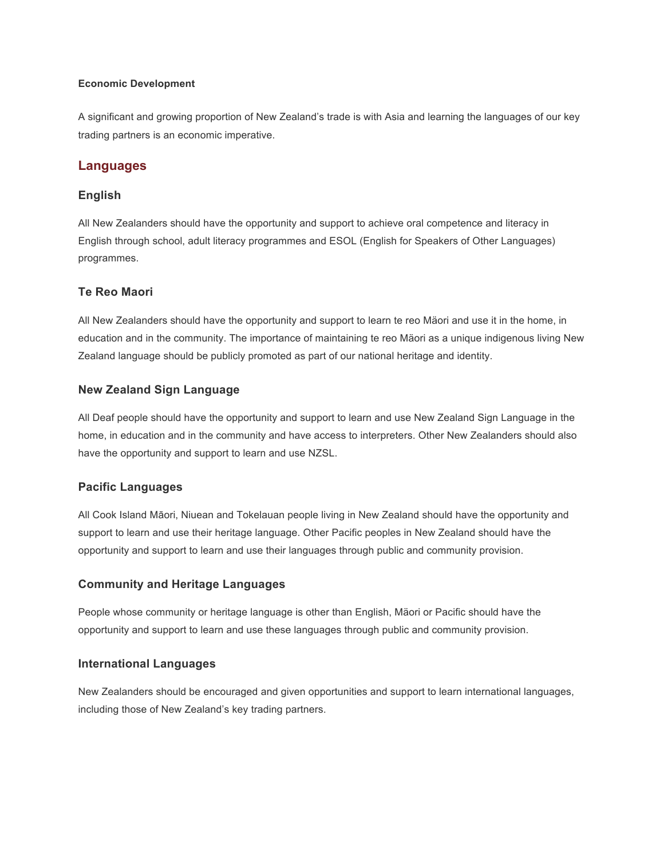#### **Economic Development**

A significant and growing proportion of New Zealand's trade is with Asia and learning the languages of our key trading partners is an economic imperative.

# **Languages**

### **English**

All New Zealanders should have the opportunity and support to achieve oral competence and literacy in English through school, adult literacy programmes and ESOL (English for Speakers of Other Languages) programmes.

# **Te Reo Maori**

All New Zealanders should have the opportunity and support to learn te reo Mäori and use it in the home, in education and in the community. The importance of maintaining te reo Mäori as a unique indigenous living New Zealand language should be publicly promoted as part of our national heritage and identity.

### **New Zealand Sign Language**

All Deaf people should have the opportunity and support to learn and use New Zealand Sign Language in the home, in education and in the community and have access to interpreters. Other New Zealanders should also have the opportunity and support to learn and use NZSL.

# **Pacific Languages**

All Cook Island Māori, Niuean and Tokelauan people living in New Zealand should have the opportunity and support to learn and use their heritage language. Other Pacific peoples in New Zealand should have the opportunity and support to learn and use their languages through public and community provision.

# **Community and Heritage Languages**

People whose community or heritage language is other than English, Mäori or Pacific should have the opportunity and support to learn and use these languages through public and community provision.

#### **International Languages**

New Zealanders should be encouraged and given opportunities and support to learn international languages, including those of New Zealand's key trading partners.